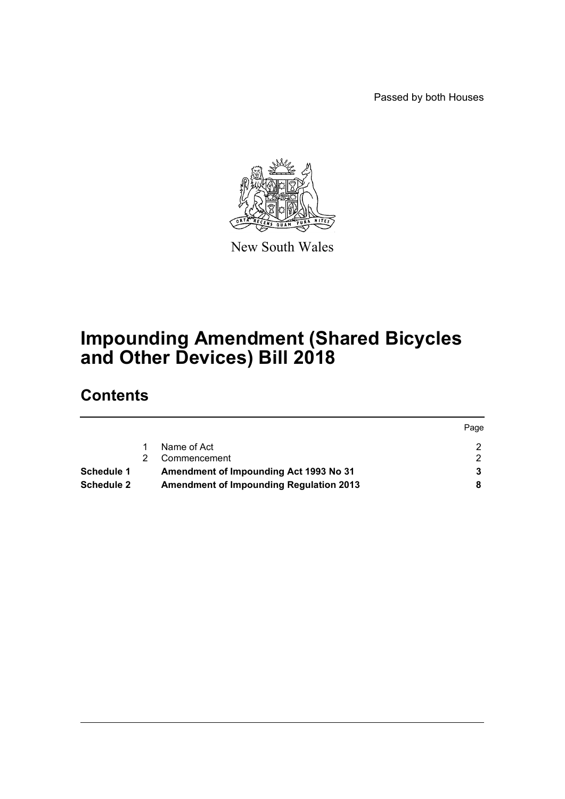Passed by both Houses

Page



New South Wales

# **Impounding Amendment (Shared Bicycles and Other Devices) Bill 2018**

## **Contents**

|                   |                                                | Page |
|-------------------|------------------------------------------------|------|
|                   | Name of Act                                    |      |
|                   | Commencement                                   |      |
| Schedule 1        | Amendment of Impounding Act 1993 No 31         |      |
| <b>Schedule 2</b> | <b>Amendment of Impounding Regulation 2013</b> |      |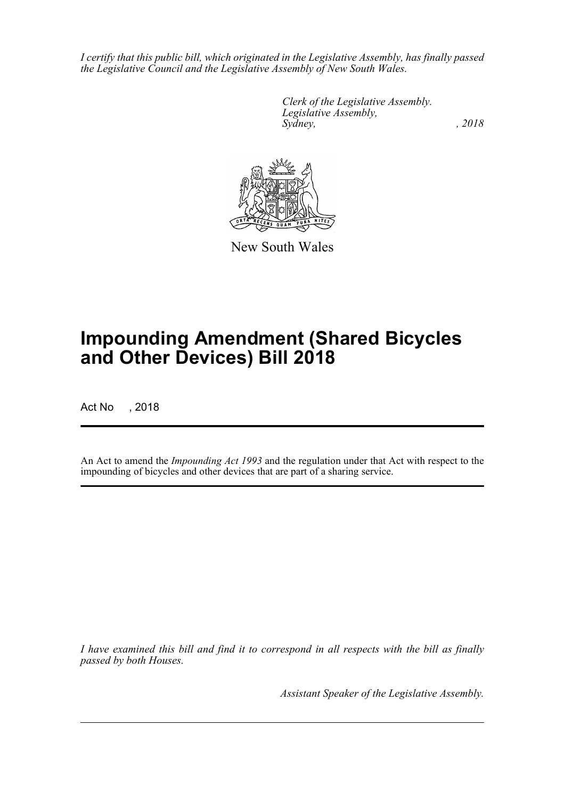*I certify that this public bill, which originated in the Legislative Assembly, has finally passed the Legislative Council and the Legislative Assembly of New South Wales.*

> *Clerk of the Legislative Assembly. Legislative Assembly, Sydney, , 2018*



New South Wales

# **Impounding Amendment (Shared Bicycles and Other Devices) Bill 2018**

Act No , 2018

An Act to amend the *Impounding Act 1993* and the regulation under that Act with respect to the impounding of bicycles and other devices that are part of a sharing service.

*I have examined this bill and find it to correspond in all respects with the bill as finally passed by both Houses.*

*Assistant Speaker of the Legislative Assembly.*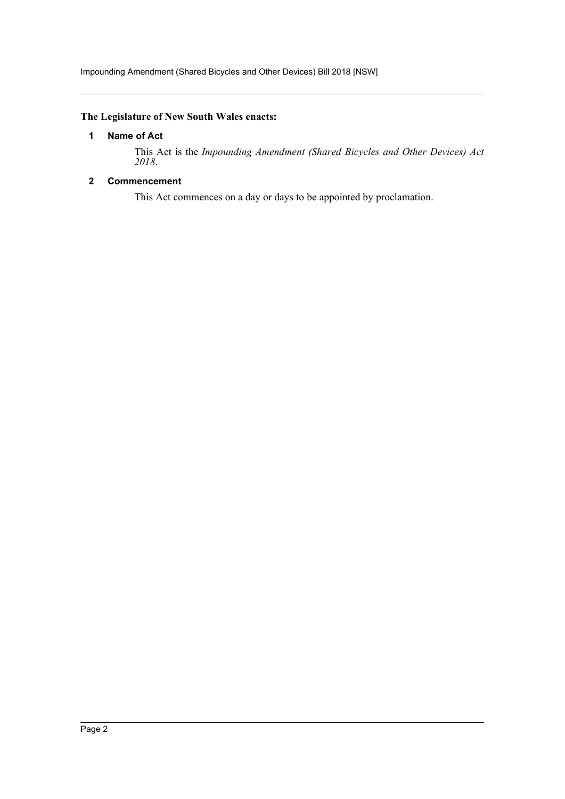## <span id="page-2-0"></span>**The Legislature of New South Wales enacts:**

## **1 Name of Act**

This Act is the *Impounding Amendment (Shared Bicycles and Other Devices) Act 2018*.

## <span id="page-2-1"></span>**2 Commencement**

This Act commences on a day or days to be appointed by proclamation.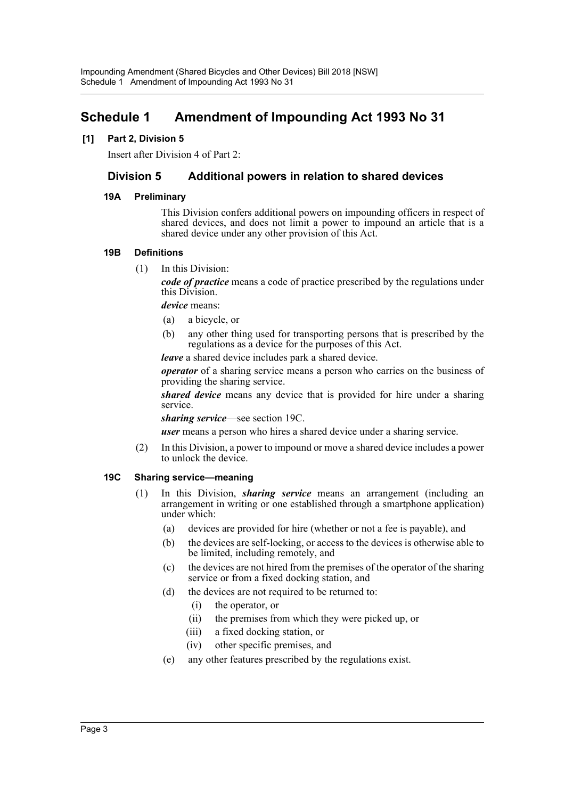## <span id="page-3-0"></span>**Schedule 1 Amendment of Impounding Act 1993 No 31**

## **[1] Part 2, Division 5**

Insert after Division 4 of Part 2:

## **Division 5 Additional powers in relation to shared devices**

#### **19A Preliminary**

This Division confers additional powers on impounding officers in respect of shared devices, and does not limit a power to impound an article that is a shared device under any other provision of this Act.

#### **19B Definitions**

(1) In this Division:

*code of practice* means a code of practice prescribed by the regulations under this Division.

*device* means:

- (a) a bicycle, or
- (b) any other thing used for transporting persons that is prescribed by the regulations as a device for the purposes of this Act.

*leave* a shared device includes park a shared device.

*operator* of a sharing service means a person who carries on the business of providing the sharing service.

*shared device* means any device that is provided for hire under a sharing service.

*sharing service*—see section 19C.

*user* means a person who hires a shared device under a sharing service.

(2) In this Division, a power to impound or move a shared device includes a power to unlock the device.

#### **19C Sharing service—meaning**

- (1) In this Division, *sharing service* means an arrangement (including an arrangement in writing or one established through a smartphone application) under which:
	- (a) devices are provided for hire (whether or not a fee is payable), and
	- (b) the devices are self-locking, or access to the devices is otherwise able to be limited, including remotely, and
	- (c) the devices are not hired from the premises of the operator of the sharing service or from a fixed docking station, and
	- (d) the devices are not required to be returned to:
		- (i) the operator, or
		- (ii) the premises from which they were picked up, or
		- (iii) a fixed docking station, or
		- (iv) other specific premises, and
	- (e) any other features prescribed by the regulations exist.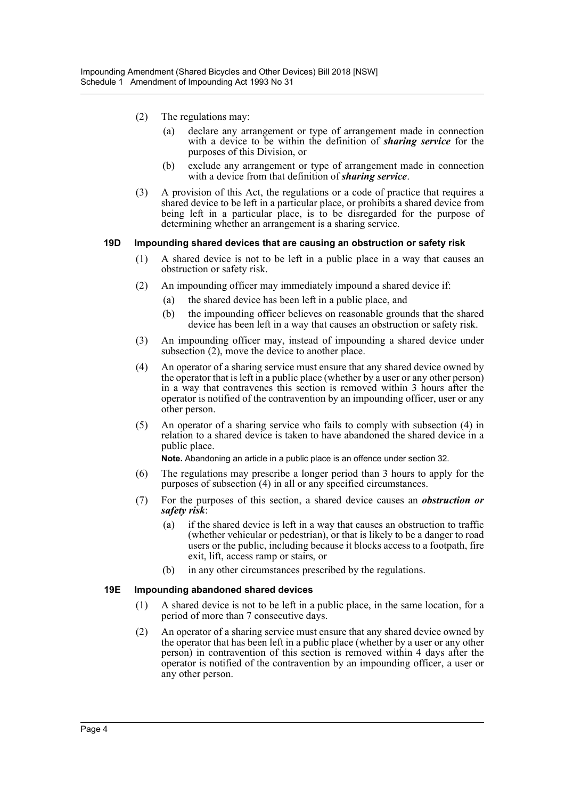- (2) The regulations may:
	- (a) declare any arrangement or type of arrangement made in connection with a device to be within the definition of *sharing service* for the purposes of this Division, or
	- (b) exclude any arrangement or type of arrangement made in connection with a device from that definition of *sharing service*.
- (3) A provision of this Act, the regulations or a code of practice that requires a shared device to be left in a particular place, or prohibits a shared device from being left in a particular place, is to be disregarded for the purpose of determining whether an arrangement is a sharing service.

#### **19D Impounding shared devices that are causing an obstruction or safety risk**

- (1) A shared device is not to be left in a public place in a way that causes an obstruction or safety risk.
- (2) An impounding officer may immediately impound a shared device if:
	- (a) the shared device has been left in a public place, and
	- (b) the impounding officer believes on reasonable grounds that the shared device has been left in a way that causes an obstruction or safety risk.
- (3) An impounding officer may, instead of impounding a shared device under subsection (2), move the device to another place.
- (4) An operator of a sharing service must ensure that any shared device owned by the operator that is left in a public place (whether by a user or any other person) in a way that contravenes this section is removed within 3 hours after the operator is notified of the contravention by an impounding officer, user or any other person.
- (5) An operator of a sharing service who fails to comply with subsection (4) in relation to a shared device is taken to have abandoned the shared device in a public place.

**Note.** Abandoning an article in a public place is an offence under section 32.

- (6) The regulations may prescribe a longer period than 3 hours to apply for the purposes of subsection (4) in all or any specified circumstances.
- (7) For the purposes of this section, a shared device causes an *obstruction or safety risk*:
	- (a) if the shared device is left in a way that causes an obstruction to traffic (whether vehicular or pedestrian), or that is likely to be a danger to road users or the public, including because it blocks access to a footpath, fire exit, lift, access ramp or stairs, or
	- (b) in any other circumstances prescribed by the regulations.

#### **19E Impounding abandoned shared devices**

- (1) A shared device is not to be left in a public place, in the same location, for a period of more than 7 consecutive days.
- (2) An operator of a sharing service must ensure that any shared device owned by the operator that has been left in a public place (whether by a user or any other person) in contravention of this section is removed within 4 days after the operator is notified of the contravention by an impounding officer, a user or any other person.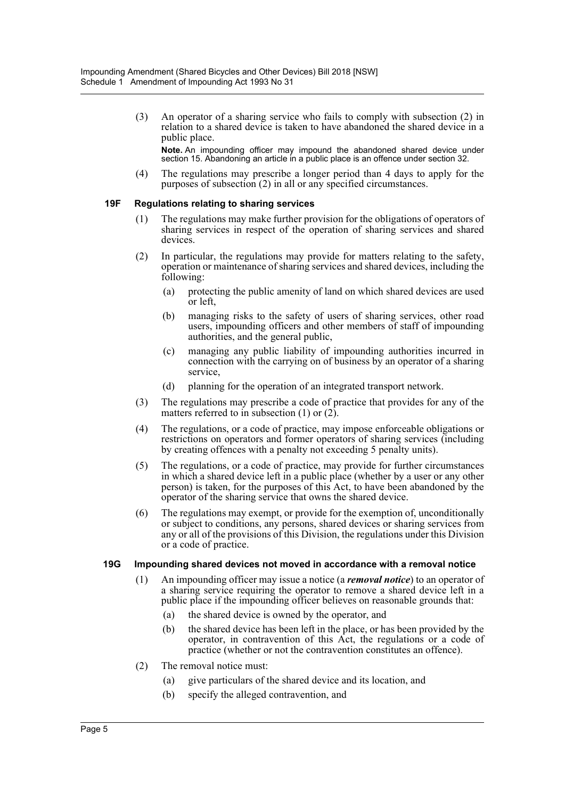(3) An operator of a sharing service who fails to comply with subsection (2) in relation to a shared device is taken to have abandoned the shared device in a public place.

**Note.** An impounding officer may impound the abandoned shared device under section 15. Abandoning an article in a public place is an offence under section 32.

(4) The regulations may prescribe a longer period than 4 days to apply for the purposes of subsection (2) in all or any specified circumstances.

#### **19F Regulations relating to sharing services**

- (1) The regulations may make further provision for the obligations of operators of sharing services in respect of the operation of sharing services and shared devices.
- (2) In particular, the regulations may provide for matters relating to the safety, operation or maintenance of sharing services and shared devices, including the following:
	- (a) protecting the public amenity of land on which shared devices are used or left,
	- (b) managing risks to the safety of users of sharing services, other road users, impounding officers and other members of staff of impounding authorities, and the general public,
	- (c) managing any public liability of impounding authorities incurred in connection with the carrying on of business by an operator of a sharing service,
	- (d) planning for the operation of an integrated transport network.
- (3) The regulations may prescribe a code of practice that provides for any of the matters referred to in subsection  $(1)$  or  $(2)$ .
- (4) The regulations, or a code of practice, may impose enforceable obligations or restrictions on operators and former operators of sharing services (including by creating offences with a penalty not exceeding 5 penalty units).
- (5) The regulations, or a code of practice, may provide for further circumstances in which a shared device left in a public place (whether by a user or any other person) is taken, for the purposes of this Act, to have been abandoned by the operator of the sharing service that owns the shared device.
- (6) The regulations may exempt, or provide for the exemption of, unconditionally or subject to conditions, any persons, shared devices or sharing services from any or all of the provisions of this Division, the regulations under this Division or a code of practice.

#### **19G Impounding shared devices not moved in accordance with a removal notice**

- (1) An impounding officer may issue a notice (a *removal notice*) to an operator of a sharing service requiring the operator to remove a shared device left in a public place if the impounding officer believes on reasonable grounds that:
	- (a) the shared device is owned by the operator, and
	- (b) the shared device has been left in the place, or has been provided by the operator, in contravention of this Act, the regulations or a code of practice (whether or not the contravention constitutes an offence).
- (2) The removal notice must:
	- (a) give particulars of the shared device and its location, and
	- (b) specify the alleged contravention, and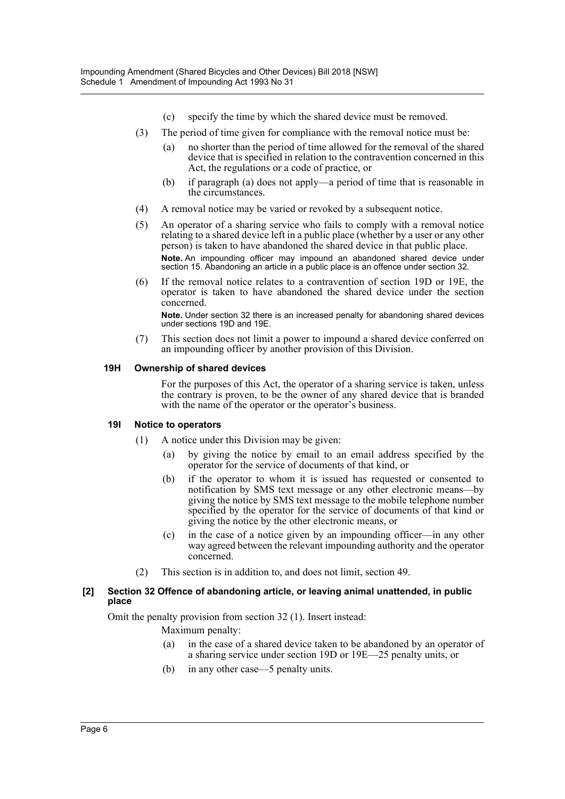- (c) specify the time by which the shared device must be removed.
- (3) The period of time given for compliance with the removal notice must be:
	- (a) no shorter than the period of time allowed for the removal of the shared device that is specified in relation to the contravention concerned in this Act, the regulations or a code of practice, or
	- (b) if paragraph (a) does not apply—a period of time that is reasonable in the circumstances.
- (4) A removal notice may be varied or revoked by a subsequent notice.
- (5) An operator of a sharing service who fails to comply with a removal notice relating to a shared device left in a public place (whether by a user or any other person) is taken to have abandoned the shared device in that public place. **Note.** An impounding officer may impound an abandoned shared device under section 15. Abandoning an article in a public place is an offence under section 32.
- (6) If the removal notice relates to a contravention of section 19D or 19E, the operator is taken to have abandoned the shared device under the section concerned. **Note.** Under section 32 there is an increased penalty for abandoning shared devices under sections 19D and 19E.
- (7) This section does not limit a power to impound a shared device conferred on an impounding officer by another provision of this Division.

#### **19H Ownership of shared devices**

For the purposes of this Act, the operator of a sharing service is taken, unless the contrary is proven, to be the owner of any shared device that is branded with the name of the operator or the operator's business.

#### **19I Notice to operators**

- (1) A notice under this Division may be given:
	- by giving the notice by email to an email address specified by the operator for the service of documents of that kind, or
	- (b) if the operator to whom it is issued has requested or consented to notification by SMS text message or any other electronic means—by giving the notice by SMS text message to the mobile telephone number specified by the operator for the service of documents of that kind or giving the notice by the other electronic means, or
	- (c) in the case of a notice given by an impounding officer—in any other way agreed between the relevant impounding authority and the operator concerned.
- (2) This section is in addition to, and does not limit, section 49.

#### **[2] Section 32 Offence of abandoning article, or leaving animal unattended, in public place**

Omit the penalty provision from section 32 (1). Insert instead:

Maximum penalty:

- (a) in the case of a shared device taken to be abandoned by an operator of a sharing service under section 19D or 19E—25 penalty units, or
- (b) in any other case—5 penalty units.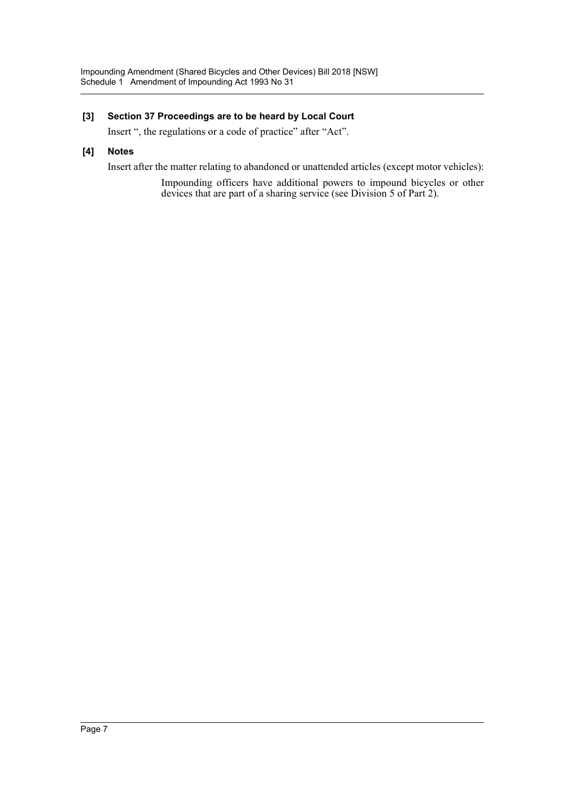## **[3] Section 37 Proceedings are to be heard by Local Court**

Insert ", the regulations or a code of practice" after "Act".

#### **[4] Notes**

Insert after the matter relating to abandoned or unattended articles (except motor vehicles):

Impounding officers have additional powers to impound bicycles or other devices that are part of a sharing service (see Division 5 of Part 2).